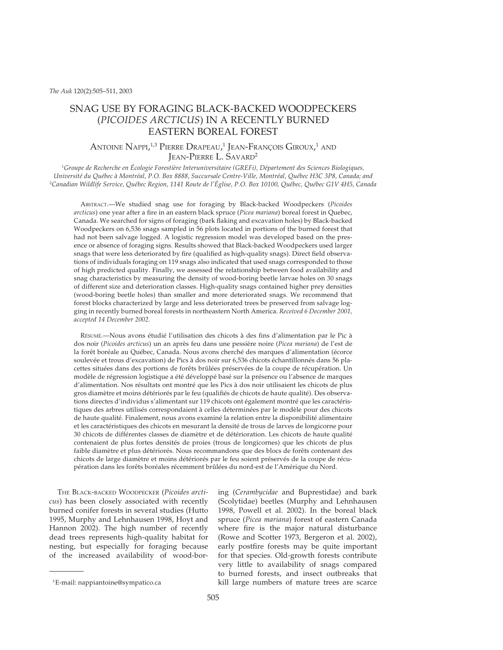# SNAG USE BY FORAGING BLACK-BACKED WOODPECKERS (*PICOIDES ARCTICUS*) IN A RECENTLY BURNED EASTERN BOREAL FOREST

## Antoine Nappi,<sup>1,3</sup> Pierre Drapeau,<sup>1</sup> Jean-François Giroux,<sup>1</sup> and JEAN-PIERRE L. SAVARD2

1 *Groupe de Recherche en Écologie Forestière Interuniversitaire (GREFi), Département des Sciences Biologiques, Université du Québec à Montréal, P.O. Box 8888, Succursale Centre-Ville, Montréal, Québec H3C 3P8, Canada; and* 2 *Canadian Wildlife Service, Québec Region, 1141 Route de l'Église, P.O. Box 10100, Québec, Québec G1V 4H5, Canada*

ABSTRACT.—We studied snag use for foraging by Black-backed Woodpeckers (*Picoides arcticus*) one year after a fire in an eastern black spruce (*Picea mariana*) boreal forest in Quebec, Canada. We searched for signs of foraging (bark flaking and excavation holes) by Black-backed Woodpeckers on 6,536 snags sampled in 56 plots located in portions of the burned forest that had not been salvage logged. A logistic regression model was developed based on the presence or absence of foraging signs. Results showed that Black-backed Woodpeckers used larger snags that were less deteriorated by fire (qualified as high-quality snags). Direct field observations of individuals foraging on 119 snags also indicated that used snags corresponded to those of high predicted quality. Finally, we assessed the relationship between food availability and snag characteristics by measuring the density of wood-boring beetle larvae holes on 30 snags of different size and deterioration classes. High-quality snags contained higher prey densities (wood-boring beetle holes) than smaller and more deteriorated snags. We recommend that forest blocks characterized by large and less deteriorated trees be preserved from salvage logging in recently burned boreal forests in northeastern North America. *Received 6 December 2001, accepted 14 December 2002.*

RÉSUMÉ.—Nous avons étudié l'utilisation des chicots à des fins d'alimentation par le Pic à dos noir (*Picoides arcticus*) un an après feu dans une pessière noire (*Picea mariana*) de l'est de la forêt boréale au Québec, Canada. Nous avons cherché des marques d'alimentation (écorce soulevée et trous d'excavation) de Pics à dos noir sur 6,536 chicots échantillonnés dans 56 placettes situées dans des portions de forêts brûlées préservées de la coupe de récupération. Un modèle de régression logistique a été développé basé sur la présence ou l'absence de marques d'alimentation. Nos résultats ont montré que les Pics à dos noir utilisaient les chicots de plus gros diamètre et moins détériorés par le feu (qualifiés de chicots de haute qualité). Des observations directes d'individus s'alimentant sur 119 chicots ont également montré que les caractéristiques des arbres utilisés correspondaient à celles déterminées par le modèle pour des chicots de haute qualité. Finalement, nous avons examiné la relation entre la disponibilité alimentaire et les caractéristiques des chicots en mesurant la densité de trous de larves de longicorne pour 30 chicots de différentes classes de diamètre et de détérioration. Les chicots de haute qualité contenaient de plus fortes densités de proies (trous de longicornes) que les chicots de plus faible diamètre et plus détériorés. Nous recommandons que des blocs de forêts contenant des chicots de large diamètre et moins détériorés par le feu soient préservés de la coupe de récupération dans les forêts boréales récemment brûlées du nord-est de l'Amérique du Nord.

THE BLACK-BACKED WOODPECKER (*Picoides arcticus*) has been closely associated with recently burned conifer forests in several studies (Hutto 1995, Murphy and Lehnhausen 1998, Hoyt and Hannon 2002). The high number of recently dead trees represents high-quality habitat for nesting, but especially for foraging because of the increased availability of wood-boring (*Cerambycidae* and Buprestidae) and bark (Scolytidae) beetles (Murphy and Lehnhausen 1998, Powell et al. 2002). In the boreal black spruce (*Picea mariana*) forest of eastern Canada where fire is the major natural disturbance (Rowe and Scotter 1973, Bergeron et al. 2002), early postfire forests may be quite important for that species. Old-growth forests contribute very little to availability of snags compared to burned forests, and insect outbreaks that kill large numbers of mature trees are scarce

<sup>3</sup>E-mail: nappiantoine@sympatico.ca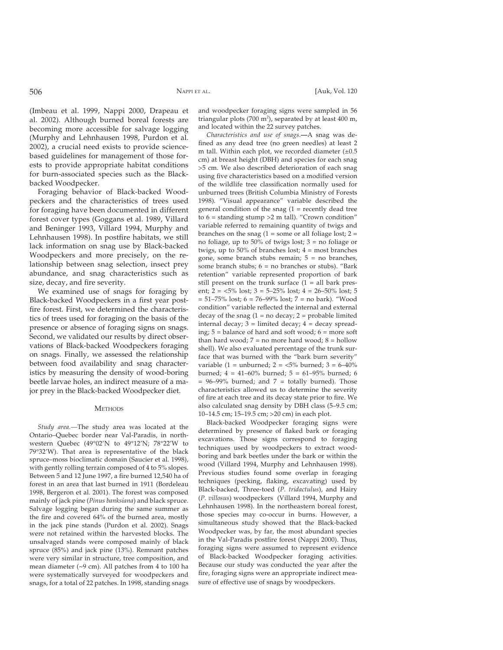(Imbeau et al. 1999, Nappi 2000, Drapeau et al. 2002). Although burned boreal forests are becoming more accessible for salvage logging (Murphy and Lehnhausen 1998, Purdon et al. 2002), a crucial need exists to provide sciencebased guidelines for management of those forests to provide appropriate habitat conditions for burn-associated species such as the Blackbacked Woodpecker.

Foraging behavior of Black-backed Woodpeckers and the characteristics of trees used for foraging have been documented in different forest cover types (Goggans et al. 1989, Villard and Beninger 1993, Villard 1994, Murphy and Lehnhausen 1998). In postfire habitats, we still lack information on snag use by Black-backed Woodpeckers and more precisely, on the relationship between snag selection, insect prey abundance, and snag characteristics such as size, decay, and fire severity.

We examined use of snags for foraging by Black-backed Woodpeckers in a first year postfire forest. First, we determined the characteristics of trees used for foraging on the basis of the presence or absence of foraging signs on snags. Second, we validated our results by direct observations of Black-backed Woodpeckers foraging on snags. Finally, we assessed the relationship between food availability and snag characteristics by measuring the density of wood-boring beetle larvae holes, an indirect measure of a major prey in the Black-backed Woodpecker diet.

#### **METHODS**

*Study area.—*The study area was located at the Ontario–Quebec border near Val-Paradis, in northwestern Quebec (49°02'N to 49°12'N; 78°22'W to  $79^{\circ}32'$ W). That area is representative of the black spruce–moss bioclimatic domain (Saucier et al. 1998), with gently rolling terrain composed of 4 to 5% slopes. Between 5 and 12 June 1997, a fire burned 12,540 ha of forest in an area that last burned in 1911 (Bordeleau 1998, Bergeron et al. 2001). The forest was composed mainly of jack pine (*Pinus banksiana*) and black spruce. Salvage logging began during the same summer as the fire and covered  $64\%$  of the burned area, mostly in the jack pine stands (Purdon et al. 2002). Snags were not retained within the harvested blocks. The unsalvaged stands were composed mainly of black spruce (85%) and jack pine (13%). Remnant patches were very similar in structure, tree composition, and mean diameter (~9 cm). All patches from 4 to 100 ha were systematically surveyed for woodpeckers and snags, for a total of 22 patches. In 1998, standing snags

and woodpecker foraging signs were sampled in 56 triangular plots (700 m<sup>2</sup>), separated by at least 400 m, and located within the 22 survey patches.

*Characteristics and use of snags*.**—**A snag was defined as any dead tree (no green needles) at least 2 m tall. Within each plot, we recorded diameter  $(\pm 0.5)$ cm) at breast height (DBH) and species for each snag >5 cm. We also described deterioration of each snag using five characteristics based on a modified version of the wildlife tree classification normally used for unburned trees (British Columbia Ministry of Forests 1998). "Visual appearance" variable described the general condition of the snag  $(1 =$  recently dead tree to  $6 =$  standing stump  $>2$  m tall). "Crown condition" variable referred to remaining quantity of twigs and branches on the snag  $(1 = some or all foliage lost; 2 =$ no foliage, up to 50% of twigs lost; 3 = no foliage or twigs, up to 50% of branches lost;  $4 = \text{most branches}$ gone, some branch stubs remain;  $5 = no$  branches, some branch stubs; 6 = no branches or stubs). "Bark retention" variable represented proportion of bark still present on the trunk surface  $(1 = all)$  bark present;  $2 = 5\%$  lost;  $3 = 5-25\%$  lost;  $4 = 26-50\%$  lost; 5  $= 51-75\%$  lost;  $6 = 76-99\%$  lost;  $7 =$  no bark). "Wood condition" variable reflected the internal and external decay of the snag  $(1 = no decay; 2 = probable limited)$ internal decay;  $3 =$  limited decay;  $4 =$  decay spreading; 5 = balance of hard and soft wood; 6 = more soft than hard wood;  $7 = no$  more hard wood;  $8 = 1$ hollow shell). We also evaluated percentage of the trunk surface that was burned with the "bark burn severity" variable (1 = unburned; 2 =  $\langle 5\%$  burned; 3 = 6–40% burned;  $4 = 41-60\%$  burned;  $5 = 61-95\%$  burned; 6  $= 96-99\%$  burned; and  $7 =$  totally burned). Those characteristics allowed us to determine the severity of fire at each tree and its decay state prior to fire. We also calculated snag density by DBH class (5–9.5 cm; 10–14.5 cm; 15–19.5 cm; >20 cm) in each plot.

Black-backed Woodpecker foraging signs were determined by presence of flaked bark or foraging excavations. Those signs correspond to foraging techniques used by woodpeckers to extract woodboring and bark beetles under the bark or within the wood (Villard 1994, Murphy and Lehnhausen 1998). Previous studies found some overlap in foraging techniques (pecking, flaking, excavating) used by Black-backed, Three-toed (*P. tridactulus*), and Hairy (*P. villosus*) woodpeckers (Villard 1994, Murphy and Lehnhausen 1998). In the northeastern boreal forest, those species may co-occur in burns. However, a simultaneous study showed that the Black-backed Woodpecker was, by far, the most abundant species in the Val-Paradis postfire forest (Nappi 2000). Thus, foraging signs were assumed to represent evidence of Black-backed Woodpecker foraging activities. Because our study was conducted the year after the fire, foraging signs were an appropriate indirect measure of effective use of snags by woodpeckers.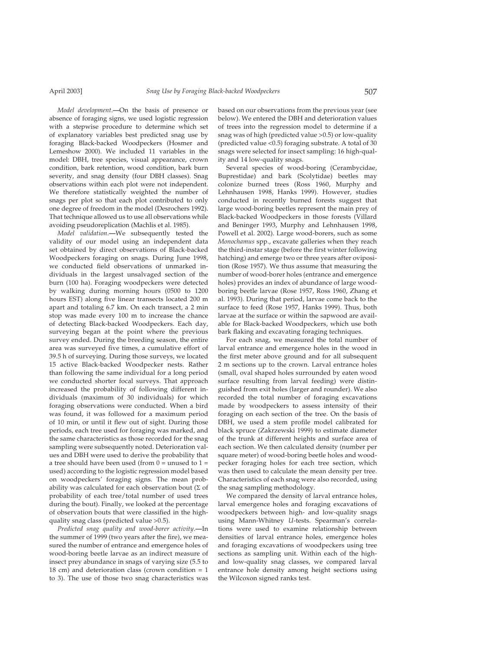*Model development*.**—**On the basis of presence or absence of foraging signs, we used logistic regression with a stepwise procedure to determine which set of explanatory variables best predicted snag use by foraging Black-backed Woodpeckers (Hosmer and Lemeshow 2000). We included 11 variables in the model: DBH, tree species, visual appearance, crown condition, bark retention, wood condition, bark burn severity, and snag density (four DBH classes). Snag

observations within each plot were not independent. We therefore statistically weighted the number of snags per plot so that each plot contributed to only one degree of freedom in the model (Desrochers 1992). That technique allowed us to use all observations while avoiding pseudoreplication (Machlis et al. 1985).

*Model validation*.**—**We subsequently tested the validity of our model using an independent data set obtained by direct observations of Black-backed Woodpeckers foraging on snags. During June 1998, we conducted field observations of unmarked individuals in the largest unsalvaged section of the burn (100 ha). Foraging woodpeckers were detected by walking during morning hours (0500 to 1200 hours EST) along five linear transects located 200 m apart and totaling 6.7 km. On each transect, a 2 min stop was made every 100 m to increase the chance of detecting Black-backed Woodpeckers. Each day, surveying began at the point where the previous survey ended. During the breeding season, the entire area was surveyed five times, a cumulative effort of 39.5 h of surveying. During those surveys, we located 15 active Black-backed Woodpecker nests. Rather than following the same individual for a long period we conducted shorter focal surveys. That approach increased the probability of following different individuals (maximum of 30 individuals) for which foraging observations were conducted. When a bird was found, it was followed for a maximum period of 10 min, or until it flew out of sight. During those periods, each tree used for foraging was marked, and the same characteristics as those recorded for the snag sampling were subsequently noted. Deterioration values and DBH were used to derive the probability that a tree should have been used (from  $0 =$  unused to  $1 =$ used) according to the logistic regression model based on woodpeckers' foraging signs. The mean probability was calculated for each observation bout  $(\Sigma$  of probability of each tree/total number of used trees during the bout). Finally, we looked at the percentage of observation bouts that were classified in the highquality snag class (predicted value >0.5).

*Predicted snag quality and wood-borer activity*.**—**In the summer of 1999 (two years after the fire), we measured the number of entrance and emergence holes of wood-boring beetle larvae as an indirect measure of insect prey abundance in snags of varying size (5.5 to 18 cm) and deterioration class (crown condition  $= 1$ to 3). The use of those two snag characteristics was based on our observations from the previous year (see below). We entered the DBH and deterioration values of trees into the regression model to determine if a snag was of high (predicted value >0.5) or low-quality (predicted value <0.5) foraging substrate. A total of 30 snags were selected for insect sampling: 16 high-quality and 14 low-quality snags.

Several species of wood-boring (Cerambycidae, Buprestidae) and bark (Scolytidae) beetles may colonize burned trees (Ross 1960, Murphy and Lehnhausen 1998, Hanks 1999). However, studies conducted in recently burned forests suggest that large wood-boring beetles represent the main prey of Black-backed Woodpeckers in those forests (Villard and Beninger 1993, Murphy and Lehnhausen 1998, Powell et al. 2002). Large wood-borers, such as some *Monochamus* spp., excavate galleries when they reach the third-instar stage (before the first winter following hatching) and emerge two or three years after oviposition (Rose 1957). We thus assume that measuring the number of wood-borer holes (entrance and emergence holes) provides an index of abundance of large woodboring beetle larvae (Rose 1957, Ross 1960, Zhang et al. 1993). During that period, larvae come back to the surface to feed (Rose 1957, Hanks 1999). Thus, both larvae at the surface or within the sapwood are available for Black-backed Woodpeckers, which use both bark flaking and excavating foraging techniques.

For each snag, we measured the total number of larval entrance and emergence holes in the wood in the first meter above ground and for all subsequent 2 m sections up to the crown. Larval entrance holes (small, oval shaped holes surrounded by eaten wood surface resulting from larval feeding) were distinguished from exit holes (larger and rounder). We also recorded the total number of foraging excavations made by woodpeckers to assess intensity of their foraging on each section of the tree. On the basis of DBH, we used a stem profile model calibrated for black spruce (Zakrzewski 1999) to estimate diameter of the trunk at different heights and surface area of each section. We then calculated density (number per square meter) of wood-boring beetle holes and woodpecker foraging holes for each tree section, which was then used to calculate the mean density per tree. Characteristics of each snag were also recorded, using the snag sampling methodology.

We compared the density of larval entrance holes, larval emergence holes and foraging excavations of woodpeckers between high- and low-quality snags using Mann-Whitney *U*-tests. Spearman's correlations were used to examine relationship between densities of larval entrance holes, emergence holes and foraging excavations of woodpeckers using tree sections as sampling unit. Within each of the highand low-quality snag classes, we compared larval entrance hole density among height sections using the Wilcoxon signed ranks test.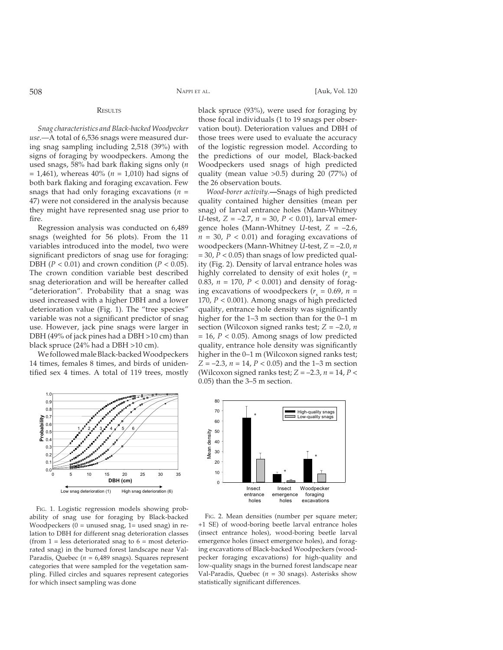#### **RESULTS**

*Snag characteristics and Black-backed Woodpecker use*.—A total of 6,536 snags were measured during snag sampling including 2,518 (39%) with signs of foraging by woodpeckers. Among the used snags, 58% had bark flaking signs only (*n*) = 1,461), whereas 40% (*n* = 1,010) had signs of both bark flaking and foraging excavation. Few snags that had only foraging excavations (*n* = 47) were not considered in the analysis because they might have represented snag use prior to fire.

Regression analysis was conducted on 6,489 snags (weighted for 56 plots). From the 11 variables introduced into the model, two were significant predictors of snag use for foraging: DBH ( $P < 0.01$ ) and crown condition ( $P < 0.05$ ). The crown condition variable best described snag deterioration and will be hereafter called "deterioration". Probability that a snag was used increased with a higher DBH and a lower deterioration value (Fig. 1). The "tree species" variable was not a significant predictor of snag use. However, jack pine snags were larger in DBH (49% of jack pines had a DBH >10 cm) than black spruce (24% had a DBH >10 cm).

We followed male Black-backed Woodpeckers 14 times, females 8 times, and birds of unidentified sex 4 times. A total of 119 trees, mostly



FIG. 1. Logistic regression models showing probability of snag use for foraging by Black-backed Woodpeckers  $(0 =$  unused snag,  $1 =$  used snag) in relation to DBH for different snag deterioration classes (from  $1 =$  less deteriorated snag to  $6 =$  most deteriorated snag) in the burned forest landscape near Val-Paradis, Quebec (*n* = 6,489 snags). Squares represent categories that were sampled for the vegetation sampling. Filled circles and squares represent categories for which insect sampling was done

black spruce (93%), were used for foraging by those focal individuals (1 to 19 snags per observation bout). Deterioration values and DBH of those trees were used to evaluate the accuracy of the logistic regression model. According to the predictions of our model, Black-backed Woodpeckers used snags of high predicted quality (mean value >0.5) during 20 (77%) of the 26 observation bouts.

*Wood-borer activity.***—**Snags of high predicted quality contained higher densities (mean per snag) of larval entrance holes (Mann-Whitney *U*-test, *Z* = –2.7, *n* = 30, *P* < 0.01), larval emergence holes (Mann-Whitney *U*-test, *Z* = –2.6,  $n = 30$ ,  $P < 0.01$ ) and foraging excavations of woodpeckers (Mann-Whitney *U*-test, *Z* = –2.0, *n*  $= 30, P < 0.05$ ) than snags of low predicted quality (Fig. 2). Density of larval entrance holes was highly correlated to density of exit holes  $(r<sub>s</sub> =$ 0.83, *n* = 170, *P* < 0.001) and density of foraging excavations of woodpeckers ( $r<sub>s</sub> = 0.69$ ,  $n =$ 170, *P* < 0.001). Among snags of high predicted quality, entrance hole density was significantly higher for the 1–3 m section than for the 0–1 m section (Wilcoxon signed ranks test; *Z* = –2.0, *n*  $= 16$ ,  $P < 0.05$ ). Among snags of low predicted quality, entrance hole density was significantly higher in the 0–1 m (Wilcoxon signed ranks test;  $Z = -2.3$ ,  $n = 14$ ,  $P < 0.05$ ) and the 1–3 m section (Wilcoxon signed ranks test;  $Z = -2.3$ ,  $n = 14$ ,  $P <$ 0.05) than the 3–5 m section.



FIG. 2. Mean densities (number per square meter; +1 SE) of wood-boring beetle larval entrance holes (insect entrance holes), wood-boring beetle larval emergence holes (insect emergence holes), and foraging excavations of Black-backed Woodpeckers (woodpecker foraging excavations) for high-quality and low-quality snags in the burned forest landscape near Val-Paradis, Quebec ( $n = 30$  snags). Asterisks show statistically significant differences.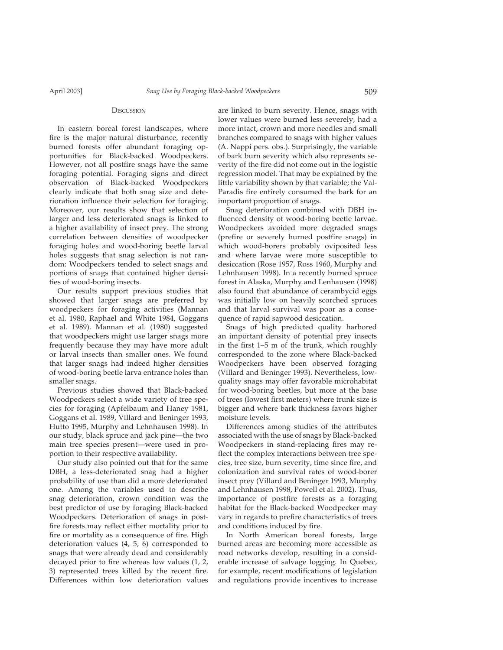#### **D**ISCUSSION

In eastern boreal forest landscapes, where fire is the major natural disturbance, recently burned forests offer abundant foraging opportunities for Black-backed Woodpeckers. However, not all postfire snags have the same foraging potential. Foraging signs and direct observation of Black-backed Woodpeckers clearly indicate that both snag size and deterioration influence their selection for foraging. Moreover, our results show that selection of larger and less deteriorated snags is linked to a higher availability of insect prey. The strong correlation between densities of woodpecker foraging holes and wood-boring beetle larval holes suggests that snag selection is not random: Woodpeckers tended to select snags and portions of snags that contained higher densities of wood-boring insects.

Our results support previous studies that showed that larger snags are preferred by woodpeckers for foraging activities (Mannan et al. 1980, Raphael and White 1984, Goggans et al. 1989). Mannan et al. (1980) suggested that woodpeckers might use larger snags more frequently because they may have more adult or larval insects than smaller ones. We found that larger snags had indeed higher densities of wood-boring beetle larva entrance holes than smaller snags.

Previous studies showed that Black-backed Woodpeckers select a wide variety of tree species for foraging (Apfelbaum and Haney 1981, Goggans et al. 1989, Villard and Beninger 1993, Hutto 1995, Murphy and Lehnhausen 1998). In our study, black spruce and jack pine—the two main tree species present—were used in proportion to their respective availability.

Our study also pointed out that for the same DBH, a less-deteriorated snag had a higher probability of use than did a more deteriorated one. Among the variables used to describe snag deterioration, crown condition was the best predictor of use by foraging Black-backed Woodpeckers. Deterioration of snags in postfire forests may reflect either mortality prior to fire or mortality as a consequence of fire. High deterioration values (4, 5, 6) corresponded to snags that were already dead and considerably decayed prior to fire whereas low values  $(1, 2, 1)$ 3) represented trees killed by the recent fire. Differences within low deterioration values

are linked to burn severity. Hence, snags with lower values were burned less severely, had a more intact, crown and more needles and small branches compared to snags with higher values (A. Nappi pers. obs.). Surprisingly, the variable of bark burn severity which also represents severity of the fire did not come out in the logistic regression model. That may be explained by the little variability shown by that variable; the Val-Paradis fire entirely consumed the bark for an important proportion of snags.

Snag deterioration combined with DBH influenced density of wood-boring beetle larvae. Woodpeckers avoided more degraded snags (prefire or severely burned postfire snags) in which wood-borers probably oviposited less and where larvae were more susceptible to desiccation (Rose 1957, Ross 1960, Murphy and Lehnhausen 1998). In a recently burned spruce forest in Alaska, Murphy and Lenhausen (1998) also found that abundance of cerambycid eggs was initially low on heavily scorched spruces and that larval survival was poor as a consequence of rapid sapwood desiccation.

Snags of high predicted quality harbored an important density of potential prey insects in the first  $1-5$  m of the trunk, which roughly corresponded to the zone where Black-backed Woodpeckers have been observed foraging (Villard and Beninger 1993). Nevertheless, lowquality snags may offer favorable microhabitat for wood-boring beetles, but more at the base of trees (lowest first meters) where trunk size is bigger and where bark thickness favors higher moisture levels.

Differences among studies of the attributes associated with the use of snags by Black-backed Woodpeckers in stand-replacing fires may reflect the complex interactions between tree species, tree size, burn severity, time since fire, and colonization and survival rates of wood-borer insect prey (Villard and Beninger 1993, Murphy and Lehnhausen 1998, Powell et al. 2002). Thus, importance of postfire forests as a foraging habitat for the Black-backed Woodpecker may vary in regards to prefire characteristics of trees and conditions induced by fire.

In North American boreal forests, large burned areas are becoming more accessible as road networks develop, resulting in a considerable increase of salvage logging. In Quebec, for example, recent modifications of legislation and regulations provide incentives to increase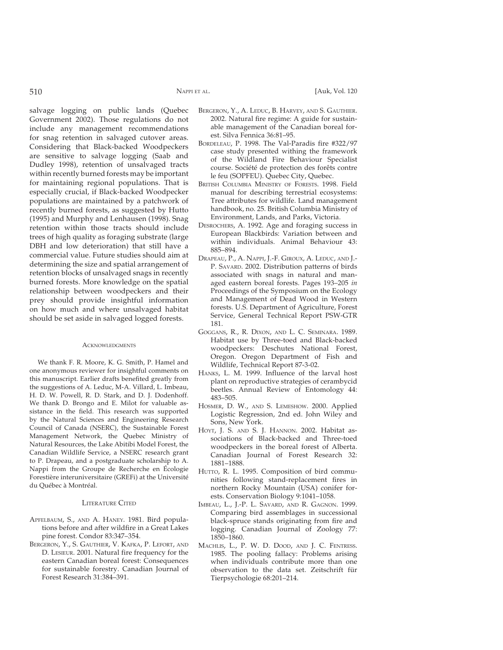salvage logging on public lands (Quebec Government 2002). Those regulations do not include any management recommendations for snag retention in salvaged cutover areas. Considering that Black-backed Woodpeckers are sensitive to salvage logging (Saab and Dudley 1998), retention of unsalvaged tracts within recently burned forests may be important for maintaining regional populations. That is especially crucial, if Black-backed Woodpecker populations are maintained by a patchwork of recently burned forests, as suggested by Hutto (1995) and Murphy and Lenhausen (1998). Snag retention within those tracts should include trees of high quality as foraging substrate (large DBH and low deterioration) that still have a commercial value. Future studies should aim at determining the size and spatial arrangement of retention blocks of unsalvaged snags in recently burned forests. More knowledge on the spatial relationship between woodpeckers and their prey should provide insightful information on how much and where unsalvaged habitat should be set aside in salvaged logged forests.

#### **ACKNOWLEDGMENTS**

We thank F. R. Moore, K. G. Smith, P. Hamel and one anonymous reviewer for insightful comments on this manuscript. Earlier drafts benefited greatly from the suggestions of A. Leduc, M-A. Villard, L. Imbeau, H. D. W. Powell, R. D. Stark, and D. J. Dodenhoff. We thank D. Brongo and E. Milot for valuable assistance in the field. This research was supported by the Natural Sciences and Engineering Research Council of Canada (NSERC), the Sustainable Forest Management Network, the Quebec Ministry of Natural Resources, the Lake Abitibi Model Forest, the Canadian Wildlife Service, a NSERC research grant to P. Drapeau, and a postgraduate scholarship to A. Nappi from the Groupe de Recherche en Écologie Forestière interuniversitaire (GREFi) at the Université du Québec à Montréal.

### LITERATURE CITED

- APFELBAUM, S., AND A. HANEY. 1981. Bird populations before and after wildfire in a Great Lakes pine forest. Condor 83:347–354.
- BERGERON, Y., S. GAUTHIER, V. KAFKA, P. LEFORT, AND D. LESIEUR. 2001. Natural fire frequency for the eastern Canadian boreal forest: Consequences for sustainable forestry. Canadian Journal of Forest Research 31:384–391.
- BERGERON, Y., A. LEDUC, B. HARVEY, AND S. GAUTHIER. 2002. Natural fire regime: A guide for sustainable management of the Canadian boreal forest. Silva Fennica 36:81–95.
- BORDELEAU, P. 1998. The Val-Paradis fire #322/97 case study presented withing the framework of the Wildland Fire Behaviour Specialist course. Société de protection des forêts contre le feu (SOPFEU). Quebec City, Quebec.
- BRITISH COLUMBIA MINISTRY OF FORESTS. 1998. Field manual for describing terrestrial ecosystems: Tree attributes for wildlife. Land management handbook, no. 25. British Columbia Ministry of Environment, Lands, and Parks, Victoria.
- DESROCHERS, A. 1992. Age and foraging success in European Blackbirds: Variation between and within individuals. Animal Behaviour 43: 885–894.
- DRAPEAU, P., A. NAPPI, J.-F. GIROUX, A. LEDUC, AND J.- P. SAVARD. 2002. Distribution patterns of birds associated with snags in natural and managed eastern boreal forests. Pages 193–205 *in* Proceedings of the Symposium on the Ecology and Management of Dead Wood in Western forests. U.S. Department of Agriculture, Forest Service, General Technical Report PSW-GTR 181.
- GOGGANS, R., R. DIXON, AND L. C. SEMINARA. 1989. Habitat use by Three-toed and Black-backed woodpeckers: Deschutes National Forest, Oregon. Oregon Department of Fish and Wildlife, Technical Report 87-3-02.
- HANKS, L. M. 1999. Influence of the larval host plant on reproductive strategies of cerambycid beetles. Annual Review of Entomology 44: 483–505.
- HOSMER, D. W., AND S. LEMESHOW. 2000. Applied Logistic Regression, 2nd ed. John Wiley and Sons, New York.
- HOYT, J. S. AND S. J. HANNON. 2002. Habitat associations of Black-backed and Three-toed woodpeckers in the boreal forest of Alberta. Canadian Journal of Forest Research 32: 1881–1888.
- HUTTO, R. L. 1995. Composition of bird communities following stand-replacement fires in northern Rocky Mountain (USA) conifer forests. Conservation Biology 9:1041–1058.
- IMBEAU, L., J.-P. L. SAVARD, AND R. GAGNON. 1999. Comparing bird assemblages in successional black-spruce stands originating from fire and logging. Canadian Journal of Zoology 77: 1850–1860.
- MACHLIS, L., P. W. D. DOOD, AND J. C. FENTRESS. 1985. The pooling fallacy: Problems arising when individuals contribute more than one observation to the data set. Zeitschrift für Tierpsychologie 68:201–214.